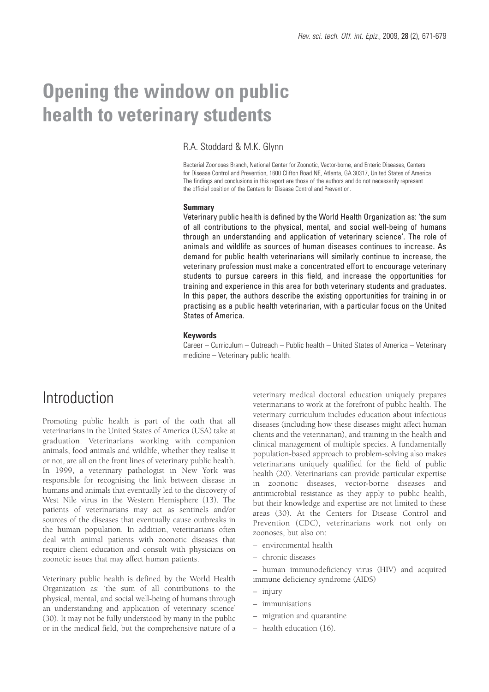# **Opening the window on public health to veterinary students**

### R.A. Stoddard & M.K. Glynn

Bacterial Zoonoses Branch, National Center for Zoonotic, Vector-borne, and Enteric Diseases, Centers for Disease Control and Prevention, 1600 Clifton Road NE, Atlanta, GA 30317, United States of America The findings and conclusions in this report are those of the authors and do not necessarily represent the official position of the Centers for Disease Control and Prevention.

#### **Summary**

Veterinary public health is defined by the World Health Organization as: 'the sum of all contributions to the physical, mental, and social well-being of humans through an understanding and application of veterinary science'. The role of animals and wildlife as sources of human diseases continues to increase. As demand for public health veterinarians will similarly continue to increase, the veterinary profession must make a concentrated effort to encourage veterinary students to pursue careers in this field, and increase the opportunities for training and experience in this area for both veterinary students and graduates. In this paper, the authors describe the existing opportunities for training in or practising as a public health veterinarian, with a particular focus on the United States of America.

#### **Keywords**

Career – Curriculum – Outreach – Public health – United States of America – Veterinary medicine – Veterinary public health.

### Introduction

Promoting public health is part of the oath that all veterinarians in the United States of America (USA) take at graduation. Veterinarians working with companion animals, food animals and wildlife, whether they realise it or not, are all on the front lines of veterinary public health. In 1999, a veterinary pathologist in New York was responsible for recognising the link between disease in humans and animals that eventually led to the discovery of West Nile virus in the Western Hemisphere (13). The patients of veterinarians may act as sentinels and/or sources of the diseases that eventually cause outbreaks in the human population. In addition, veterinarians often deal with animal patients with zoonotic diseases that require client education and consult with physicians on zoonotic issues that may affect human patients.

Veterinary public health is defined by the World Health Organization as: 'the sum of all contributions to the physical, mental, and social well-being of humans through an understanding and application of veterinary science' (30). It may not be fully understood by many in the public or in the medical field, but the comprehensive nature of a veterinary medical doctoral education uniquely prepares veterinarians to work at the forefront of public health. The veterinary curriculum includes education about infectious diseases (including how these diseases might affect human clients and the veterinarian), and training in the health and clinical management of multiple species. A fundamentally population-based approach to problem-solving also makes veterinarians uniquely qualified for the field of public health (20). Veterinarians can provide particular expertise in zoonotic diseases, vector-borne diseases and antimicrobial resistance as they apply to public health, but their knowledge and expertise are not limited to these areas (30). At the Centers for Disease Control and Prevention (CDC), veterinarians work not only on zoonoses, but also on:

- environmental health
- chronic diseases

– human immunodeficiency virus (HIV) and acquired immune deficiency syndrome (AIDS)

- injury
- immunisations
- migration and quarantine
- health education (16).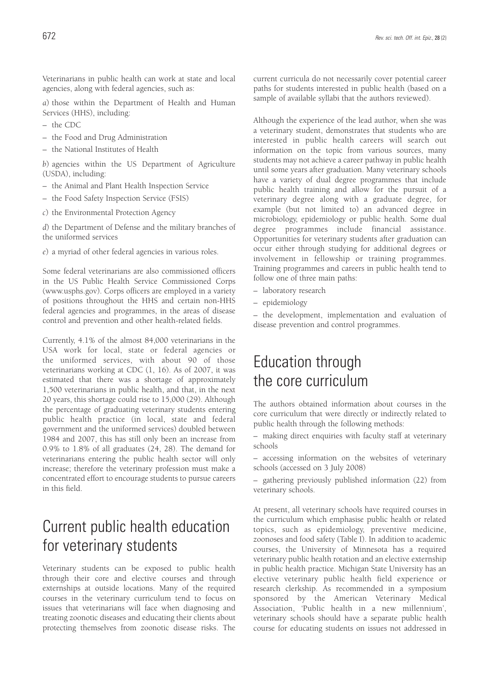Veterinarians in public health can work at state and local agencies, along with federal agencies, such as:

*a*) those within the Department of Health and Human Services (HHS), including:

- the CDC
- the Food and Drug Administration
- the National Institutes of Health

*b*) agencies within the US Department of Agriculture (USDA), including:

- the Animal and Plant Health Inspection Service
- the Food Safety Inspection Service (FSIS)
- *c*) the Environmental Protection Agency

*d*) the Department of Defense and the military branches of the uniformed services

*e*) a myriad of other federal agencies in various roles.

Some federal veterinarians are also commissioned officers in the US Public Health Service Commissioned Corps (www.usphs.gov). Corps officers are employed in a variety of positions throughout the HHS and certain non-HHS federal agencies and programmes, in the areas of disease control and prevention and other health-related fields.

Currently, 4.1% of the almost 84,000 veterinarians in the USA work for local, state or federal agencies or the uniformed services, with about 90 of those veterinarians working at CDC (1, 16). As of 2007, it was estimated that there was a shortage of approximately 1,500 veterinarians in public health, and that, in the next 20 years, this shortage could rise to 15,000 (29). Although the percentage of graduating veterinary students entering public health practice (in local, state and federal government and the uniformed services) doubled between 1984 and 2007, this has still only been an increase from 0.9% to 1.8% of all graduates (24, 28). The demand for veterinarians entering the public health sector will only increase; therefore the veterinary profession must make a concentrated effort to encourage students to pursue careers in this field.

## Current public health education for veterinary students

Veterinary students can be exposed to public health through their core and elective courses and through externships at outside locations. Many of the required courses in the veterinary curriculum tend to focus on issues that veterinarians will face when diagnosing and treating zoonotic diseases and educating their clients about protecting themselves from zoonotic disease risks. The current curricula do not necessarily cover potential career paths for students interested in public health (based on a sample of available syllabi that the authors reviewed).

Although the experience of the lead author, when she was a veterinary student, demonstrates that students who are interested in public health careers will search out information on the topic from various sources, many students may not achieve a career pathway in public health until some years after graduation. Many veterinary schools have a variety of dual degree programmes that include public health training and allow for the pursuit of a veterinary degree along with a graduate degree, for example (but not limited to) an advanced degree in microbiology, epidemiology or public health. Some dual degree programmes include financial assistance. Opportunities for veterinary students after graduation can occur either through studying for additional degrees or involvement in fellowship or training programmes. Training programmes and careers in public health tend to follow one of three main paths:

- laboratory research
- epidemiology

– the development, implementation and evaluation of disease prevention and control programmes.

## Education through the core curriculum

The authors obtained information about courses in the core curriculum that were directly or indirectly related to public health through the following methods:

– making direct enquiries with faculty staff at veterinary schools

– accessing information on the websites of veterinary schools (accessed on 3 July 2008)

– gathering previously published information (22) from veterinary schools.

At present, all veterinary schools have required courses in the curriculum which emphasise public health or related topics, such as epidemiology, preventive medicine, zoonoses and food safety (Table I). In addition to academic courses, the University of Minnesota has a required veterinary public health rotation and an elective externship in public health practice. Michigan State University has an elective veterinary public health field experience or research clerkship. As recommended in a symposium sponsored by the American Veterinary Medical Association, 'Public health in a new millennium', veterinary schools should have a separate public health course for educating students on issues not addressed in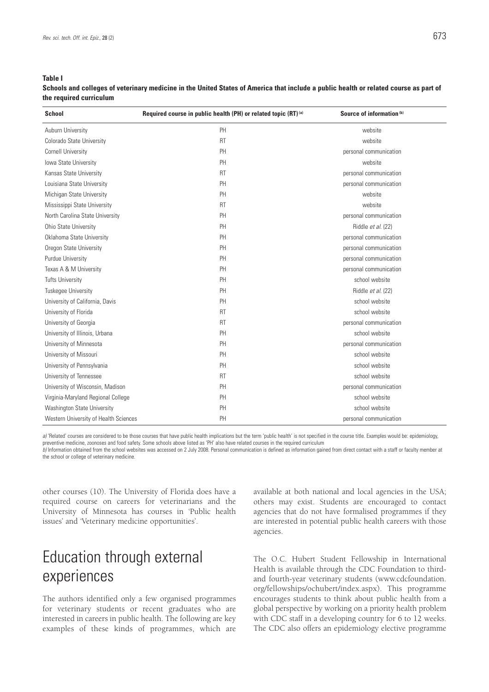#### **Table I**

**Schools and colleges of veterinary medicine in the United States of America that include a public health or related course as part of the required curriculum**

| <b>School</b>                         | Required course in public health (PH) or related topic (RT) (a) | Source of information (b) |
|---------------------------------------|-----------------------------------------------------------------|---------------------------|
| Auburn University                     | PH                                                              | website                   |
| Colorado State University             | <b>RT</b>                                                       | website                   |
| <b>Cornell University</b>             | PH                                                              | personal communication    |
| Iowa State University                 | PH                                                              | website                   |
| Kansas State University               | <b>RT</b>                                                       | personal communication    |
| Louisiana State University            | PH                                                              | personal communication    |
| Michigan State University             | PH                                                              | website                   |
| Mississippi State University          | <b>RT</b>                                                       | website                   |
| North Carolina State University       | PH                                                              | personal communication    |
| Ohio State University                 | PH                                                              | Riddle et al. (22)        |
| Oklahoma State University             | PH                                                              | personal communication    |
| Oregon State University               | PH                                                              | personal communication    |
| Purdue University                     | PH                                                              | personal communication    |
| Texas A & M University                | PH                                                              | personal communication    |
| <b>Tufts University</b>               | PH                                                              | school website            |
| <b>Tuskegee University</b>            | PH                                                              | Riddle et al. (22)        |
| University of California, Davis       | PH                                                              | school website            |
| University of Florida                 | <b>RT</b>                                                       | school website            |
| University of Georgia                 | <b>RT</b>                                                       | personal communication    |
| University of Illinois, Urbana        | PH                                                              | school website            |
| University of Minnesota               | PH                                                              | personal communication    |
| University of Missouri                | PH                                                              | school website            |
| University of Pennsylvania            | PH                                                              | school website            |
| University of Tennessee               | <b>RT</b>                                                       | school website            |
| University of Wisconsin, Madison      | PH                                                              | personal communication    |
| Virginia-Maryland Regional College    | PH                                                              | school website            |
| Washington State University           | PH                                                              | school website            |
| Western University of Health Sciences | PH                                                              | personal communication    |

a) 'Related' courses are considered to be those courses that have public health implications but the term 'public health' is not specified in the course title. Examples would be: epidemiology, preventive medicine, zoonoses and food safety. Some schools above listed as 'PH' also have related courses in the required curriculum

*b)* Information obtained from the school websites was accessed on 2 July 2008. Personal communication is defined as information gained from direct contact with a staff or faculty member at the school or college of veterinary medicine.

other courses (10). The University of Florida does have a required course on careers for veterinarians and the University of Minnesota has courses in 'Public health issues' and 'Veterinary medicine opportunities'.

## Education through external experiences

The authors identified only a few organised programmes for veterinary students or recent graduates who are interested in careers in public health. The following are key examples of these kinds of programmes, which are available at both national and local agencies in the USA; others may exist. Students are encouraged to contact agencies that do not have formalised programmes if they are interested in potential public health careers with those agencies.

The O.C. Hubert Student Fellowship in International Health is available through the CDC Foundation to thirdand fourth-year veterinary students (www.cdcfoundation. org/fellowships/ochubert/index.aspx). This programme encourages students to think about public health from a global perspective by working on a priority health problem with CDC staff in a developing country for 6 to 12 weeks. The CDC also offers an epidemiology elective programme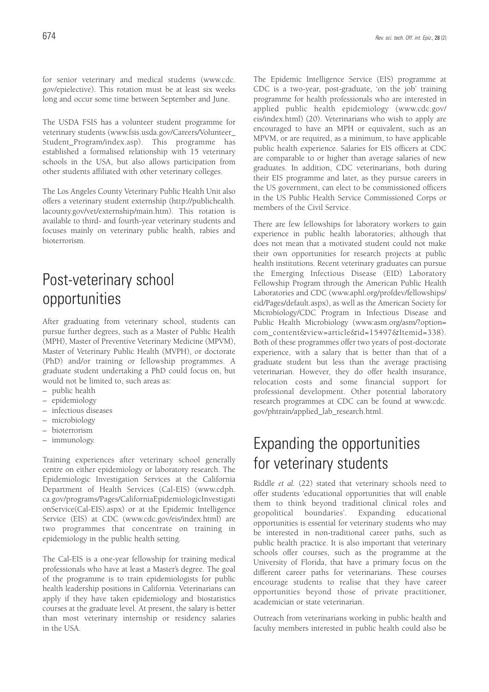for senior veterinary and medical students (www.cdc. gov/epielective). This rotation must be at least six weeks long and occur some time between September and June.

The USDA FSIS has a volunteer student programme for veterinary students (www.fsis.usda.gov/Careers/Volunteer\_ Student\_Program/index.asp). This programme has established a formalised relationship with 15 veterinary schools in the USA, but also allows participation from other students affiliated with other veterinary colleges.

The Los Angeles County Veterinary Public Health Unit also offers a veterinary student externship (http://publichealth. lacounty.gov/vet/externship/main.htm). This rotation is available to third- and fourth-year veterinary students and focuses mainly on veterinary public health, rabies and bioterrorism.

## Post-veterinary school opportunities

After graduating from veterinary school, students can pursue further degrees, such as a Master of Public Health (MPH), Master of Preventive Veterinary Medicine (MPVM), Master of Veterinary Public Health (MVPH), or doctorate (PhD) and/or training or fellowship programmes. A graduate student undertaking a PhD could focus on, but would not be limited to, such areas as:

- public health
- epidemiology
- infectious diseases
- microbiology
- bioterrorism
- immunology.

Training experiences after veterinary school generally centre on either epidemiology or laboratory research. The Epidemiologic Investigation Services at the California Department of Health Services (Cal-EIS) (www.cdph. ca.gov/programs/Pages/CaliforniaEpidemiologicInvestigati onService(Cal-EIS).aspx) or at the Epidemic Intelligence Service (EIS) at CDC (www.cdc.gov/eis/index.html) are two programmes that concentrate on training in epidemiology in the public health setting.

The Cal-EIS is a one-year fellowship for training medical professionals who have at least a Master's degree. The goal of the programme is to train epidemiologists for public health leadership positions in California. Veterinarians can apply if they have taken epidemiology and biostatistics courses at the graduate level. At present, the salary is better than most veterinary internship or residency salaries in the USA.

The Epidemic Intelligence Service (EIS) programme at CDC is a two-year, post-graduate, 'on the job' training programme for health professionals who are interested in applied public health epidemiology (www.cdc.gov/ eis/index.html) (20). Veterinarians who wish to apply are encouraged to have an MPH or equivalent, such as an MPVM, or are required, as a minimum, to have applicable public health experience. Salaries for EIS officers at CDC are comparable to or higher than average salaries of new graduates. In addition, CDC veterinarians, both during their EIS programme and later, as they pursue careers in the US government, can elect to be commissioned officers in the US Public Health Service Commissioned Corps or members of the Civil Service.

There are few fellowships for laboratory workers to gain experience in public health laboratories; although that does not mean that a motivated student could not make their own opportunities for research projects at public health institutions. Recent veterinary graduates can pursue the Emerging Infectious Disease (EID) Laboratory Fellowship Program through the American Public Health Laboratories and CDC (www.aphl.org/profdev/fellowships/ eid/Pages/default.aspx), as well as the American Society for Microbiology/CDC Program in Infectious Disease and Public Health Microbiology (www.asm.org/asm/?option= com\_content&view=article&id=15497&Itemid=338). Both of these programmes offer two years of post-doctorate experience, with a salary that is better than that of a graduate student but less than the average practising veterinarian. However, they do offer health insurance, relocation costs and some financial support for professional development. Other potential laboratory research programmes at CDC can be found at www.cdc. gov/phtrain/applied\_lab\_research.html.

## Expanding the opportunities for veterinary students

Riddle *et al.* (22) stated that veterinary schools need to offer students 'educational opportunities that will enable them to think beyond traditional clinical roles and geopolitical boundaries'. Expanding educational opportunities is essential for veterinary students who may be interested in non-traditional career paths, such as public health practice. It is also important that veterinary schools offer courses, such as the programme at the University of Florida, that have a primary focus on the different career paths for veterinarians. These courses encourage students to realise that they have career opportunities beyond those of private practitioner, academician or state veterinarian.

Outreach from veterinarians working in public health and faculty members interested in public health could also be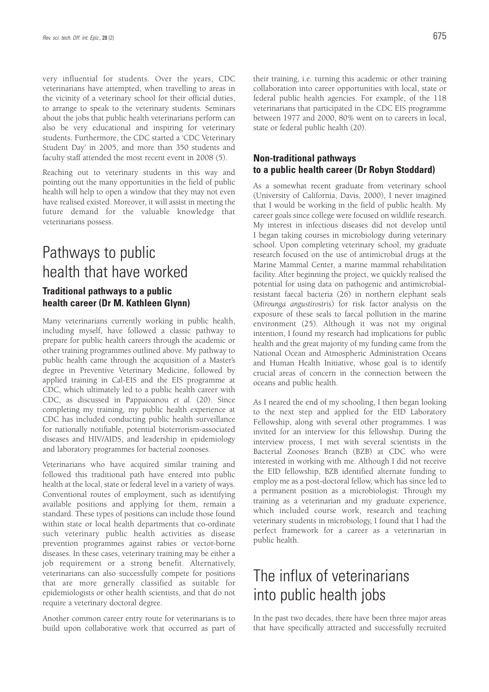very influential for students. Over the years, CDC veterinarians have attempted, when travelling to areas in the vicinity of a veterinary school for their official duties, to arrange to speak to the veterinary students. Seminars about the jobs that public health veterinarians perform can also be very educational and inspiring for veterinary students. Furthermore, the CDC started a 'CDC Veterinary Student Day' in 2005, and more than 350 students and faculty staff attended the most recent event in 2008 (5).

Reaching out to veterinary students in this way and pointing out the many opportunities in the field of public health will help to open a window that they may not even have realised existed. Moreover, it will assist in meeting the future demand for the valuable knowledge that veterinarians possess.

### Pathways to public health that have worked **Traditional pathways to a public health career (Dr M. Kathleen Glynn)**

Many veterinarians currently working in public health, including myself, have followed a classic pathway to prepare for public health careers through the academic or other training programmes outlined above. My pathway to public health came through the acquisition of a Master's degree in Preventive Veterinary Medicine, followed by applied training in Cal-EIS and the EIS programme at CDC, which ultimately led to a public health career with CDC, as discussed in Pappaioanou *et al.* (20). Since completing my training, my public health experience at CDC has included conducting public health surveillance for nationally notifiable, potential bioterrorism-associated diseases and HIV/AIDS, and leadership in epidemiology and laboratory programmes for bacterial zoonoses.

Veterinarians who have acquired similar training and followed this traditional path have entered into public health at the local, state or federal level in a variety of ways. Conventional routes of employment, such as identifying available positions and applying for them, remain a standard. These types of positions can include those found within state or local health departments that co-ordinate such veterinary public health activities as disease prevention programmes against rabies or vector-borne diseases. In these cases, veterinary training may be either a job requirement or a strong benefit. Alternatively, veterinarians can also successfully compete for positions that are more generally classified as suitable for epidemiologists or other health scientists, and that do not require a veterinary doctoral degree.

Another common career entry route for veterinarians is to build upon collaborative work that occurred as part of their training, i.e. turning this academic or other training collaboration into career opportunities with local, state or federal public health agencies. For example, of the 118 veterinarians that participated in the CDC EIS programme between 1977 and 2000, 80% went on to careers in local, state or federal public health (20).

### **Non-traditional pathways to a public health career (Dr Robyn Stoddard)**

As a somewhat recent graduate from veterinary school (University of California, Davis, 2000), I never imagined that I would be working in the field of public health. My career goals since college were focused on wildlife research. My interest in infectious diseases did not develop until I began taking courses in microbiology during veterinary school. Upon completing veterinary school, my graduate research focused on the use of antimicrobial drugs at the Marine Mammal Center, a marine mammal rehabilitation facility. After beginning the project, we quickly realised the potential for using data on pathogenic and antimicrobialresistant faecal bacteria (26) in northern elephant seals (*Mirounga angustirostris*) for risk factor analysis on the exposure of these seals to faecal pollution in the marine environment (25). Although it was not my original intention, I found my research had implications for public health and the great majority of my funding came from the National Ocean and Atmospheric Administration Oceans and Human Health Initiative, whose goal is to identify crucial areas of concern in the connection between the oceans and public health.

As I neared the end of my schooling, I then began looking to the next step and applied for the EID Laboratory Fellowship, along with several other programmes. I was invited for an interview for this fellowship. During the interview process, I met with several scientists in the Bacterial Zoonoses Branch (BZB) at CDC who were interested in working with me. Although I did not receive the EID fellowship, BZB identified alternate funding to employ me as a post-doctoral fellow, which has since led to a permanent position as a microbiologist. Through my training as a veterinarian and my graduate experience, which included course work, research and teaching veterinary students in microbiology, I found that I had the perfect framework for a career as a veterinarian in public health.

## The influx of veterinarians into public health jobs

In the past two decades, there have been three major areas that have specifically attracted and successfully recruited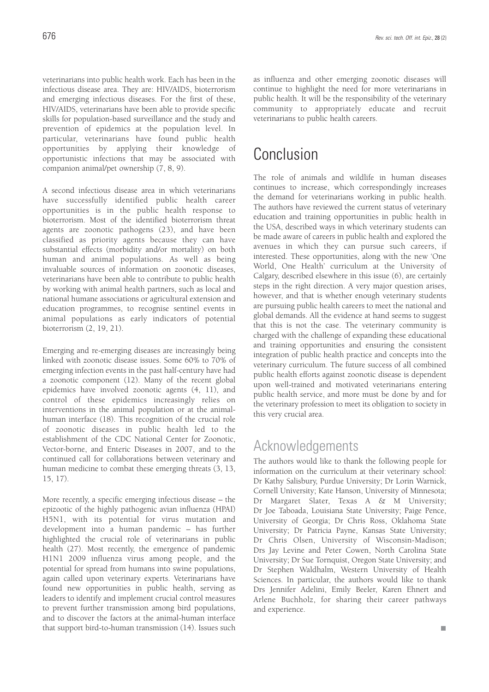veterinarians into public health work. Each has been in the infectious disease area. They are: HIV/AIDS, bioterrorism and emerging infectious diseases. For the first of these, HIV/AIDS, veterinarians have been able to provide specific skills for population-based surveillance and the study and prevention of epidemics at the population level. In particular, veterinarians have found public health opportunities by applying their knowledge of opportunistic infections that may be associated with companion animal/pet ownership (7, 8, 9).

A second infectious disease area in which veterinarians have successfully identified public health career opportunities is in the public health response to bioterrorism. Most of the identified bioterrorism threat agents are zoonotic pathogens (23), and have been classified as priority agents because they can have substantial effects (morbidity and/or mortality) on both human and animal populations. As well as being invaluable sources of information on zoonotic diseases, veterinarians have been able to contribute to public health by working with animal health partners, such as local and national humane associations or agricultural extension and education programmes, to recognise sentinel events in animal populations as early indicators of potential bioterrorism (2, 19, 21).

Emerging and re-emerging diseases are increasingly being linked with zoonotic disease issues. Some 60% to 70% of emerging infection events in the past half-century have had a zoonotic component (12). Many of the recent global epidemics have involved zoonotic agents (4, 11), and control of these epidemics increasingly relies on interventions in the animal population or at the animalhuman interface (18). This recognition of the crucial role of zoonotic diseases in public health led to the establishment of the CDC National Center for Zoonotic, Vector-borne, and Enteric Diseases in 2007, and to the continued call for collaborations between veterinary and human medicine to combat these emerging threats (3, 13, 15, 17).

More recently, a specific emerging infectious disease – the epizootic of the highly pathogenic avian influenza (HPAI) H5N1, with its potential for virus mutation and development into a human pandemic – has further highlighted the crucial role of veterinarians in public health (27). Most recently, the emergence of pandemic H1N1 2009 influenza virus among people, and the potential for spread from humans into swine populations, again called upon veterinary experts. Veterinarians have found new opportunities in public health, serving as leaders to identify and implement crucial control measures to prevent further transmission among bird populations, and to discover the factors at the animal-human interface that support bird-to-human transmission (14). Issues such

as influenza and other emerging zoonotic diseases will continue to highlight the need for more veterinarians in public health. It will be the responsibility of the veterinary community to appropriately educate and recruit veterinarians to public health careers.

### Conclusion

The role of animals and wildlife in human diseases continues to increase, which correspondingly increases the demand for veterinarians working in public health. The authors have reviewed the current status of veterinary education and training opportunities in public health in the USA, described ways in which veterinary students can be made aware of careers in public health and explored the avenues in which they can pursue such careers, if interested. These opportunities, along with the new 'One World, One Health' curriculum at the University of Calgary, described elsewhere in this issue (6), are certainly steps in the right direction. A very major question arises, however, and that is whether enough veterinary students are pursuing public health careers to meet the national and global demands. All the evidence at hand seems to suggest that this is not the case. The veterinary community is charged with the challenge of expanding these educational and training opportunities and ensuring the consistent integration of public health practice and concepts into the veterinary curriculum. The future success of all combined public health efforts against zoonotic disease is dependent upon well-trained and motivated veterinarians entering public health service, and more must be done by and for the veterinary profession to meet its obligation to society in this very crucial area.

### Acknowledgements

The authors would like to thank the following people for information on the curriculum at their veterinary school: Dr Kathy Salisbury, Purdue University; Dr Lorin Warnick, Cornell University; Kate Hanson, University of Minnesota; Dr Margaret Slater, Texas A & M University; Dr Joe Taboada, Louisiana State University; Paige Pence, University of Georgia; Dr Chris Ross, Oklahoma State University; Dr Patricia Payne, Kansas State University; Dr Chris Olsen, University of Wisconsin-Madison; Drs Jay Levine and Peter Cowen, North Carolina State University; Dr Sue Tornquist, Oregon State University; and Dr Stephen Waldhalm, Western University of Health Sciences. In particular, the authors would like to thank Drs Jennifer Adelini, Emily Beeler, Karen Ehnert and Arlene Buchholz, for sharing their career pathways and experience.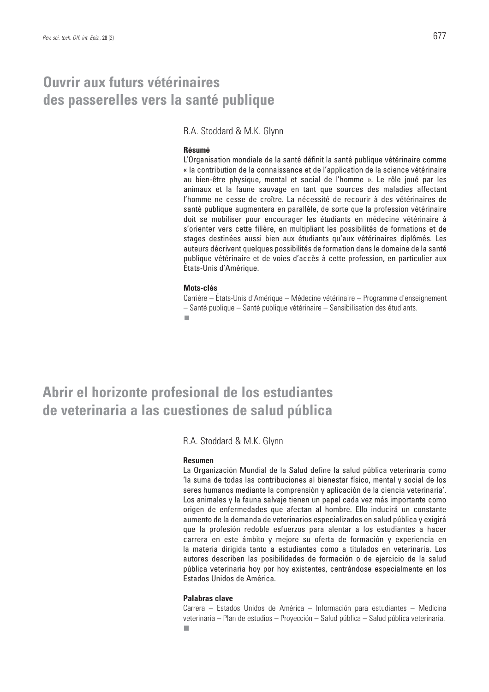### **Ouvrir aux futurs vétérinaires des passerelles vers la santé publique**

R.A. Stoddard & M.K. Glynn

### **Résumé**

L'Organisation mondiale de la santé définit la santé publique vétérinaire comme « la contribution de la connaissance et de l'application de la science vétérinaire au bien-être physique, mental et social de l'homme ». Le rôle joué par les animaux et la faune sauvage en tant que sources des maladies affectant l'homme ne cesse de croître. La nécessité de recourir à des vétérinaires de santé publique augmentera en parallèle, de sorte que la profession vétérinaire doit se mobiliser pour encourager les étudiants en médecine vétérinaire à s'orienter vers cette filière, en multipliant les possibilités de formations et de stages destinées aussi bien aux étudiants qu'aux vétérinaires diplômés. Les auteurs décrivent quelques possibilités de formation dans le domaine de la santé publique vétérinaire et de voies d'accès à cette profession, en particulier aux États-Unis d'Amérique.

#### **Mots-clés**

Carrière – États-Unis d'Amérique – Médecine vétérinaire – Programme d'enseignement – Santé publique – Santé publique vétérinaire – Sensibilisation des étudiants. п

**Abrir el horizonte profesional de los estudiantes de veterinaria a las cuestiones de salud pública**

R.A. Stoddard & M.K. Glynn

#### **Resumen**

La Organización Mundial de la Salud define la salud pública veterinaria como 'la suma de todas las contribuciones al bienestar físico, mental y social de los seres humanos mediante la comprensión y aplicación de la ciencia veterinaria'. Los animales y la fauna salvaje tienen un papel cada vez más importante como origen de enfermedades que afectan al hombre. Ello inducirá un constante aumento de la demanda de veterinarios especializados en salud pública y exigirá que la profesión redoble esfuerzos para alentar a los estudiantes a hacer carrera en este ámbito y mejore su oferta de formación y experiencia en la materia dirigida tanto a estudiantes como a titulados en veterinaria. Los autores describen las posibilidades de formación o de ejercicio de la salud pública veterinaria hoy por hoy existentes, centrándose especialmente en los Estados Unidos de América.

### **Palabras clave**

Carrera – Estados Unidos de América – Información para estudiantes – Medicina veterinaria – Plan de estudios – Proyección – Salud pública – Salud pública veterinaria.п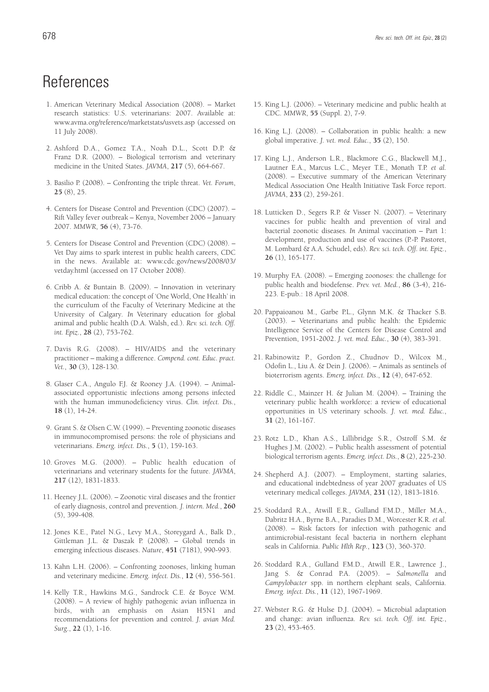- 1. American Veterinary Medical Association (2008). Market research statistics: U.S. veterinarians: 2007. Available at: www.avma.org/reference/marketstats/usvets.asp (accessed on 11 July 2008).
- 2. Ashford D.A., Gomez T.A., Noah D.L., Scott D.P. & Franz D.R. (2000). – Biological terrorism and veterinary medicine in the United States. *JAVMA*, **217** (5), 664-667.
- 3. Basilio P. (2008). Confronting the triple threat. *Vet. Forum*, **25** (8), 25.
- 4. Centers for Disease Control and Prevention (CDC) (2007). Rift Valley fever outbreak – Kenya, November 2006 – January 2007. *MMWR*, **56** (4), 73-76.
- 5. Centers for Disease Control and Prevention (CDC) (2008). Vet Day aims to spark interest in public health careers, CDC in the news. Available at: www.cdc.gov/news/2008/03/ vetday.html (accessed on 17 October 2008).
- 6. Cribb A. & Buntain B. (2009). Innovation in veterinary medical education: the concept of 'One World, One Health' in the curriculum of the Faculty of Veterinary Medicine at the University of Calgary*. In* Veterinary education for global animal and public health (D.A. Walsh, ed.). *Rev. sci. tech. Off. int. Epiz.*, **28** (2), 753-762.
- 7. Davis R.G. (2008). HIV/AIDS and the veterinary practitioner – making a difference. *Compend. cont. Educ. pract. Vet.*, **30** (3), 128-130.
- 8. Glaser C.A., Angulo F.J. & Rooney J.A. (1994). Animalassociated opportunistic infections among persons infected with the human immunodeficiency virus. *Clin. infect. Dis.*, **18** (1), 14-24.
- 9. Grant S. & Olsen C.W. (1999). Preventing zoonotic diseases in immunocompromised persons: the role of physicians and veterinarians. *Emerg. infect. Dis.*, **5** (1), 159-163.
- 10. Groves M.G. (2000). Public health education of veterinarians and veterinary students for the future. *JAVMA*, **217** (12), 1831-1833.
- 11. Heeney J.L. (2006). Zoonotic viral diseases and the frontier of early diagnosis, control and prevention. *J. intern. Med.*, **260** (5), 399-408.
- 12. Jones K.E., Patel N.G., Levy M.A., Storeygard A., Balk D., Gittleman J.L. & Daszak P. (2008). – Global trends in emerging infectious diseases. *Nature*, **451** (7181), 990-993.
- 13. Kahn L.H. (2006). Confronting zoonoses, linking human and veterinary medicine. *Emerg. infect. Dis.*, **12** (4), 556-561.
- 14. Kelly T.R., Hawkins M.G., Sandrock C.E. & Boyce W.M. (2008). – A review of highly pathogenic avian influenza in birds, with an emphasis on Asian H5N1 and recommendations for prevention and control. *J. avian Med. Surg*., **22** (1), 1-16.
- 15. King L.J. (2006). Veterinary medicine and public health at CDC. *MMWR*, **55** (Suppl. 2), 7-9.
- 16. King L.J. (2008). Collaboration in public health: a new global imperative. *J. vet. med. Educ.*, **35** (2), 150.
- 17. King L.J., Anderson L.R., Blackmore C.G., Blackwell M.J., Lautner E.A., Marcus L.C., Meyer T.E., Monath T.P. *et al.* (2008). – Executive summary of the American Veterinary Medical Association One Health Initiative Task Force report. *JAVMA*, **233** (2), 259-261.
- 18. Lutticken D., Segers R.P. & Visser N. (2007). Veterinary vaccines for public health and prevention of viral and bacterial zoonotic diseases*. In* Animal vaccination – Part 1: development, production and use of vaccines (P.-P. Pastoret, M. Lombard & A.A. Schudel, eds). *Rev. sci. tech. Off. int. Epiz.*, **26** (1), 165-177.
- 19. Murphy F.A. (2008). Emerging zoonoses: the challenge for public health and biodefense. *Prev. vet. Med.*, **86** (3-4), 216- 223. E-pub.: 18 April 2008.
- 20. Pappaioanou M., Garbe P.L., Glynn M.K. & Thacker S.B. (2003). – Veterinarians and public health: the Epidemic Intelligence Service of the Centers for Disease Control and Prevention, 1951-2002. *J. vet. med. Educ.*, **30** (4), 383-391.
- 21. Rabinowitz P., Gordon Z., Chudnov D., Wilcox M., Odofin L., Liu A. & Dein J. (2006). – Animals as sentinels of bioterrorism agents. *Emerg. infect. Dis*., **12** (4), 647-652.
- 22. Riddle C., Mainzer H. & Julian M. (2004). Training the veterinary public health workforce: a review of educational opportunities in US veterinary schools. *J. vet. med. Educ.*, **31** (2), 161-167.
- 23. Rotz L.D., Khan A.S., Lillibridge S.R., Ostroff S.M. & Hughes J.M. (2002). – Public health assessment of potential biological terrorism agents. *Emerg. infect. Dis.*, **8** (2), 225-230.
- 24. Shepherd A.J. (2007). Employment, starting salaries, and educational indebtedness of year 2007 graduates of US veterinary medical colleges. *JAVMA*, **231** (12), 1813-1816.
- 25. Stoddard R.A., Atwill E.R., Gulland F.M.D., Miller M.A., Dabritz H.A., Byrne B.A., Paradies D.M., Worcester K.R. *et al.* (2008). – Risk factors for infection with pathogenic and antimicrobial-resistant fecal bacteria in northern elephant seals in California. *Public Hlth Rep.*, **123** (3), 360-370.
- 26. Stoddard R.A., Gulland F.M.D., Atwill E.R., Lawrence J., Jang S. & Conrad P.A. (2005). – *Salmonella* and *Campylobacter* spp. in northern elephant seals, California. *Emerg. infect. Dis.*, **11** (12), 1967-1969.
- 27. Webster R.G. & Hulse D.J. (2004). Microbial adaptation and change: avian influenza. *Rev. sci. tech. Off. int. Epiz.*, **23** (2), 453-465.